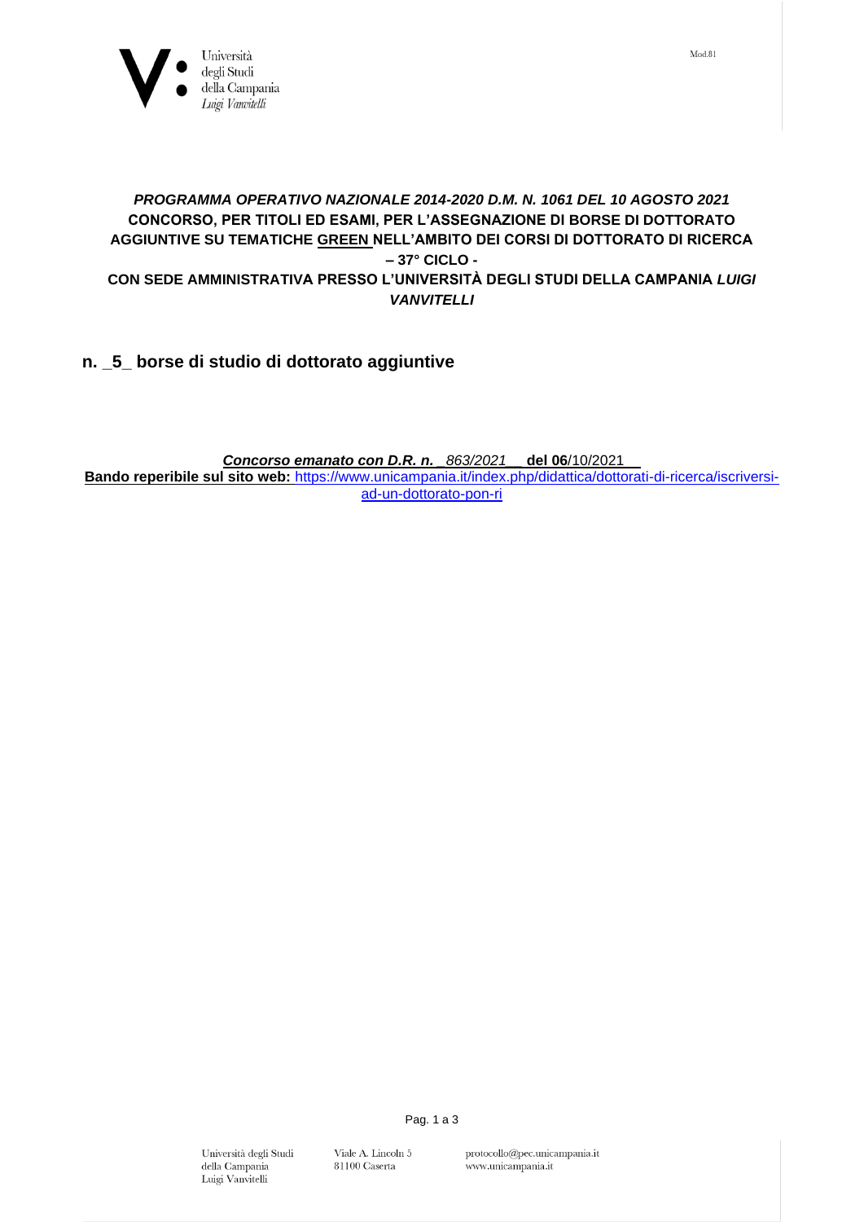

## *PROGRAMMA OPERATIVO NAZIONALE 2014-2020 D.M. N. 1061 DEL 10 AGOSTO 2021*  **CONCORSO, PER TITOLI ED ESAMI, PER L'ASSEGNAZIONE DI BORSE DI DOTTORATO AGGIUNTIVE SU TEMATICHE GREEN NELL'AMBITO DEI CORSI DI DOTTORATO DI RICERCA – 37° CICLO - CON SEDE AMMINISTRATIVA PRESSO L'UNIVERSITÀ DEGLI STUDI DELLA CAMPANIA** *LUIGI VANVITELLI*

**n. \_5\_ borse di studio di dottorato aggiuntive**

*Concorso emanato con D.R. n. \_863/2021\_\_* **del 06**/10/2021\_\_ **Bando reperibile sul sito web:** [https://www.unicampania.it/index.php/didattica/dottorati-di-ricerca/iscriversi](https://www.unicampania.it/index.php/didattica/dottorati-di-ricerca/iscriversi-ad-un-dottorato-pon-ri)[ad-un-dottorato-pon-ri](https://www.unicampania.it/index.php/didattica/dottorati-di-ricerca/iscriversi-ad-un-dottorato-pon-ri)

> Università degli Studi della Campania Luigi Vanvitelli

Pag. 1 a 3

Viale A. Lincoln $5\,$ 

81100 Caserta

protocollo@pec.unicampania.it www.unicampania.it

 $Mod.81$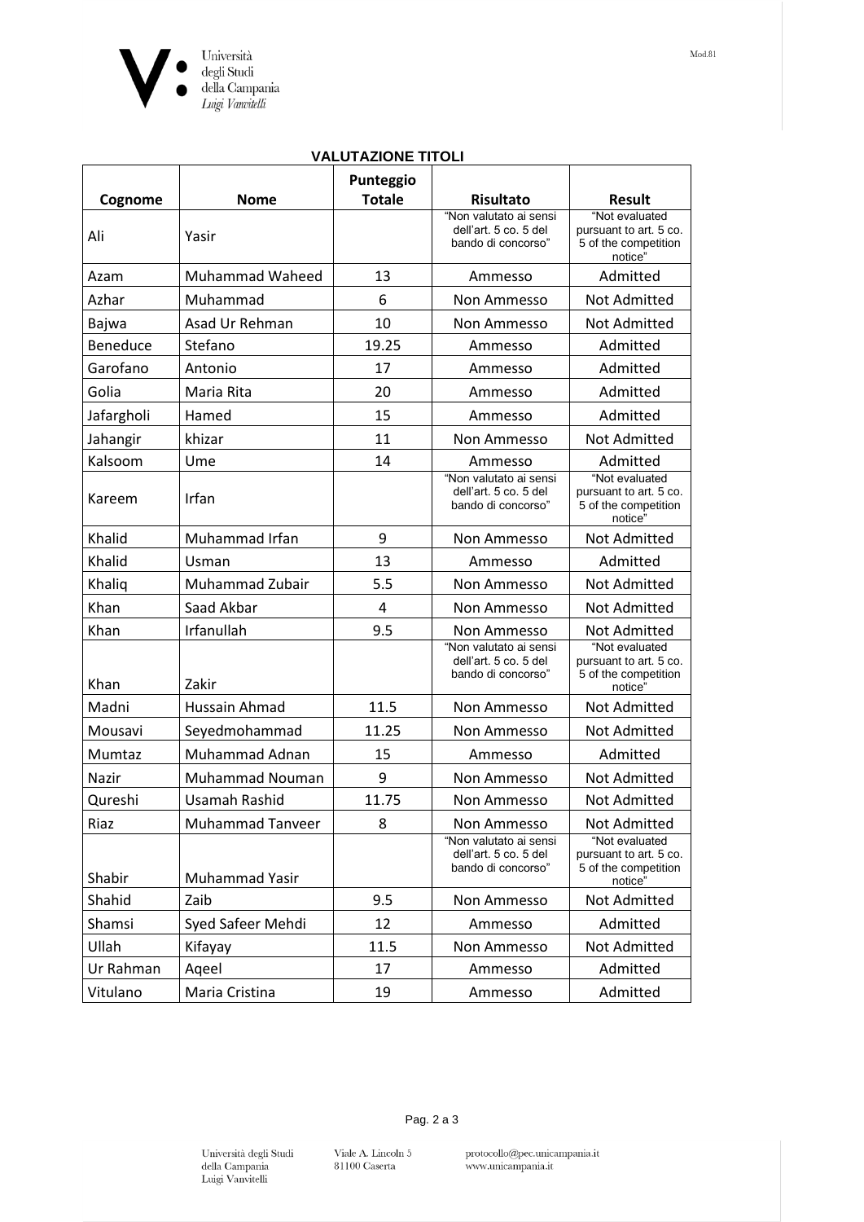

| <b>VALUTAZIONE TITOLI</b> |                         |                            |                                                                       |                                                                             |  |  |
|---------------------------|-------------------------|----------------------------|-----------------------------------------------------------------------|-----------------------------------------------------------------------------|--|--|
| Cognome                   | <b>Nome</b>             | Punteggio<br><b>Totale</b> | <b>Risultato</b>                                                      | <b>Result</b>                                                               |  |  |
| Ali                       | Yasir                   |                            | "Non valutato ai sensi<br>dell'art. 5 co. 5 del<br>bando di concorso" | "Not evaluated<br>pursuant to art. 5 co.<br>5 of the competition<br>notice" |  |  |
| Azam                      | <b>Muhammad Waheed</b>  | 13                         | Ammesso                                                               | Admitted                                                                    |  |  |
| Azhar                     | Muhammad                | 6                          | Non Ammesso                                                           | Not Admitted                                                                |  |  |
| Bajwa                     | Asad Ur Rehman          | 10                         | Non Ammesso                                                           | <b>Not Admitted</b>                                                         |  |  |
| <b>Beneduce</b>           | Stefano                 | 19.25                      | Ammesso                                                               | Admitted                                                                    |  |  |
| Garofano                  | Antonio                 | 17                         | Ammesso                                                               | Admitted                                                                    |  |  |
| Golia                     | Maria Rita              | 20                         | Ammesso                                                               | Admitted                                                                    |  |  |
| Jafargholi                | Hamed                   | 15                         | Ammesso                                                               | Admitted                                                                    |  |  |
| Jahangir                  | khizar                  | 11                         | Non Ammesso                                                           | <b>Not Admitted</b>                                                         |  |  |
| Kalsoom                   | Ume                     | 14                         | Ammesso                                                               | Admitted                                                                    |  |  |
| Kareem                    | Irfan                   |                            | "Non valutato ai sensi<br>dell'art. 5 co. 5 del<br>bando di concorso" | "Not evaluated<br>pursuant to art. 5 co.<br>5 of the competition<br>notice" |  |  |
| Khalid                    | Muhammad Irfan          | 9                          | Non Ammesso                                                           | Not Admitted                                                                |  |  |
| Khalid                    | Usman                   | 13                         | Ammesso                                                               | Admitted                                                                    |  |  |
| Khaliq                    | Muhammad Zubair         | 5.5                        | Non Ammesso                                                           | <b>Not Admitted</b>                                                         |  |  |
| Khan                      | Saad Akbar              | 4                          | Non Ammesso                                                           | Not Admitted                                                                |  |  |
| Khan                      | Irfanullah              | 9.5                        | Non Ammesso                                                           | Not Admitted                                                                |  |  |
| Khan                      | Zakir                   |                            | "Non valutato ai sensi<br>dell'art. 5 co. 5 del<br>bando di concorso" | "Not evaluated<br>pursuant to art. 5 co.<br>5 of the competition<br>notice" |  |  |
| Madni                     | Hussain Ahmad           | 11.5                       | Non Ammesso                                                           | <b>Not Admitted</b>                                                         |  |  |
| Mousavi                   | Seyedmohammad           | 11.25                      | Non Ammesso                                                           | Not Admitted                                                                |  |  |
| Mumtaz                    | Muhammad Adnan          | 15                         | Ammesso                                                               | Admitted                                                                    |  |  |
| Nazir                     | Muhammad Nouman         | 9                          | Non Ammesso                                                           | <b>Not Admitted</b>                                                         |  |  |
| Qureshi                   | Usamah Rashid           | 11.75                      | Non Ammesso                                                           | Not Admitted                                                                |  |  |
| Riaz                      | <b>Muhammad Tanveer</b> | 8                          | Non Ammesso                                                           | Not Admitted                                                                |  |  |
| Shabir                    | Muhammad Yasir          |                            | "Non valutato ai sensi<br>dell'art. 5 co. 5 del<br>bando di concorso" | "Not evaluated<br>pursuant to art. 5 co.<br>5 of the competition<br>notice" |  |  |
| Shahid                    | Zaib                    | 9.5                        | Non Ammesso                                                           | Not Admitted                                                                |  |  |
| Shamsi                    | Syed Safeer Mehdi       | 12                         | Ammesso                                                               | Admitted                                                                    |  |  |
| Ullah                     | Kifayay                 | 11.5                       | Non Ammesso                                                           | Not Admitted                                                                |  |  |
| Ur Rahman                 | Ageel                   | 17                         | Ammesso                                                               | Admitted                                                                    |  |  |
| Vitulano                  | Maria Cristina          | 19                         | Ammesso                                                               | Admitted                                                                    |  |  |

Viale A. Lincoln 5<br>81100 Caserta